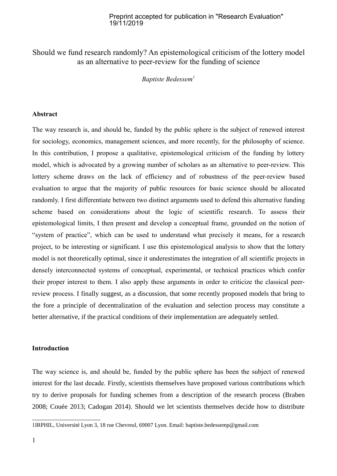## Preprint accepted for publication in "Research Evaluation" 19/11/2019

# Should we fund research randomly? An epistemological criticism of the lottery model as an alternative to peer-review for the funding of science

*Baptiste Bedessem[1](#page-0-0)*

## **Abstract**

The way research is, and should be, funded by the public sphere is the subject of renewed interest for sociology, economics, management sciences, and more recently, for the philosophy of science. In this contribution, I propose a qualitative, epistemological criticism of the funding by lottery model, which is advocated by a growing number of scholars as an alternative to peer-review. This lottery scheme draws on the lack of efficiency and of robustness of the peer-review based evaluation to argue that the majority of public resources for basic science should be allocated randomly. I first differentiate between two distinct arguments used to defend this alternative funding scheme based on considerations about the logic of scientific research. To assess their epistemological limits, I then present and develop a conceptual frame, grounded on the notion of "system of practice", which can be used to understand what precisely it means, for a research project, to be interesting or significant. I use this epistemological analysis to show that the lottery model is not theoretically optimal, since it underestimates the integration of all scientific projects in densely interconnected systems of conceptual, experimental, or technical practices which confer their proper interest to them. I also apply these arguments in order to criticize the classical peerreview process. I finally suggest, as a discussion, that some recently proposed models that bring to the fore a principle of decentralization of the evaluation and selection process may constitute a better alternative, if the practical conditions of their implementation are adequately settled.

## **Introduction**

The way science is, and should be, funded by the public sphere has been the subject of renewed interest for the last decade. Firstly, scientists themselves have proposed various contributions which try to derive proposals for funding schemes from a description of the research process (Braben 2008; Couée 2013; Cadogan 2014). Should we let scientists themselves decide how to distribute

<span id="page-0-0"></span><sup>1</sup>IRPHIL, Université Lyon 3, 18 rue Chevreul, 69007 Lyon. Email: baptiste.bedessemp@gmail.com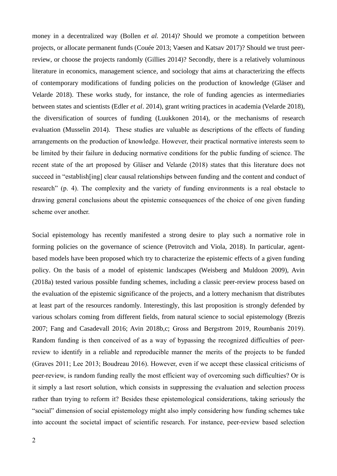money in a decentralized way (Bollen *et al.* 2014)? Should we promote a competition between projects, or allocate permanent funds (Couée 2013; Vaesen and Katsav 2017)? Should we trust peerreview, or choose the projects randomly (Gillies 2014)? Secondly, there is a relatively voluminous literature in economics, management science, and sociology that aims at characterizing the effects of contemporary modifications of funding policies on the production of knowledge (Gläser and Velarde 2018). These works study, for instance, the role of funding agencies as intermediaries between states and scientists (Edler *et al*. 2014), grant writing practices in academia (Velarde 2018), the diversification of sources of funding (Luukkonen 2014), or the mechanisms of research evaluation (Musselin 2014). These studies are valuable as descriptions of the effects of funding arrangements on the production of knowledge. However, their practical normative interests seem to be limited by their failure in deducing normative conditions for the public funding of science. The recent state of the art proposed by Gläser and Velarde (2018) states that this literature does not succeed in "establish[ing] clear causal relationships between funding and the content and conduct of research" (p. 4). The complexity and the variety of funding environments is a real obstacle to drawing general conclusions about the epistemic consequences of the choice of one given funding scheme over another.

Social epistemology has recently manifested a strong desire to play such a normative role in forming policies on the governance of science (Petrovitch and Viola, 2018). In particular, agentbased models have been proposed which try to characterize the epistemic effects of a given funding policy. On the basis of a model of epistemic landscapes (Weisberg and Muldoon 2009), Avin (2018a) tested various possible funding schemes, including a classic peer-review process based on the evaluation of the epistemic significance of the projects, and a lottery mechanism that distributes at least part of the resources randomly. Interestingly, this last proposition is strongly defended by various scholars coming from different fields, from natural science to social epistemology (Brezis 2007; Fang and Casadevall 2016; Avin 2018b,c; Gross and Bergstrom 2019, Roumbanis 2019). Random funding is then conceived of as a way of bypassing the recognized difficulties of peerreview to identify in a reliable and reproducible manner the merits of the projects to be funded (Graves 2011; Lee 2013; Boudreau 2016). However, even if we accept these classical criticisms of peer-review, is random funding really the most efficient way of overcoming such difficulties? Or is it simply a last resort solution, which consists in suppressing the evaluation and selection process rather than trying to reform it? Besides these epistemological considerations, taking seriously the "social" dimension of social epistemology might also imply considering how funding schemes take into account the societal impact of scientific research. For instance, peer-review based selection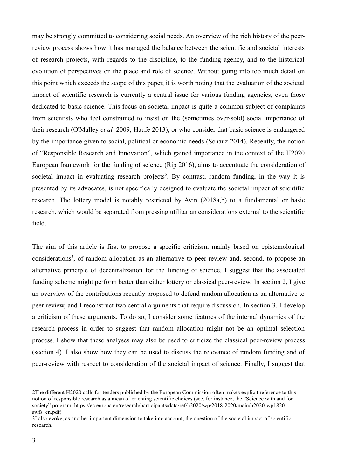may be strongly committed to considering social needs. An overview of the rich history of the peerreview process shows how it has managed the balance between the scientific and societal interests of research projects, with regards to the discipline, to the funding agency, and to the historical evolution of perspectives on the place and role of science. Without going into too much detail on this point which exceeds the scope of this paper, it is worth noting that the evaluation of the societal impact of scientific research is currently a central issue for various funding agencies, even those dedicated to basic science. This focus on societal impact is quite a common subject of complaints from scientists who feel constrained to insist on the (sometimes over-sold) social importance of their research (O'Malley *et al.* 2009; Haufe 2013), or who consider that basic science is endangered by the importance given to social, political or economic needs (Schauz 2014). Recently, the notion of "Responsible Research and Innovation", which gained importance in the context of the H2020 European framework for the funding of science (Rip 2016), aims to accentuate the consideration of societal impact in evaluating research projects<sup>[2](#page-2-0)</sup>. By contrast, random funding, in the way it is presented by its advocates, is not specifically designed to evaluate the societal impact of scientific research. The lottery model is notably restricted by Avin (2018a,b) to a fundamental or basic research, which would be separated from pressing utilitarian considerations external to the scientific field.

The aim of this article is first to propose a specific criticism, mainly based on epistemological considerations<sup>[3](#page-2-1)</sup>, of random allocation as an alternative to peer-review and, second, to propose an alternative principle of decentralization for the funding of science. I suggest that the associated funding scheme might perform better than either lottery or classical peer-review. In section 2, I give an overview of the contributions recently proposed to defend random allocation as an alternative to peer-review, and I reconstruct two central arguments that require discussion. In section 3, I develop a criticism of these arguments. To do so, I consider some features of the internal dynamics of the research process in order to suggest that random allocation might not be an optimal selection process. I show that these analyses may also be used to criticize the classical peer-review process (section 4). I also show how they can be used to discuss the relevance of random funding and of peer-review with respect to consideration of the societal impact of science. Finally, I suggest that

<span id="page-2-0"></span><sup>2</sup>The different H2020 calls for tenders published by the European Commission often makes explicit reference to this notion of responsible research as a mean of orienting scientific choices (see, for instance, the "Science with and for society" program, https://ec.europa.eu/research/participants/data/ref/h2020/wp/2018-2020/main/h2020-wp1820 swfs\_en.pdf)

<span id="page-2-1"></span><sup>3</sup>I also evoke, as another important dimension to take into account, the question of the societal impact of scientific research.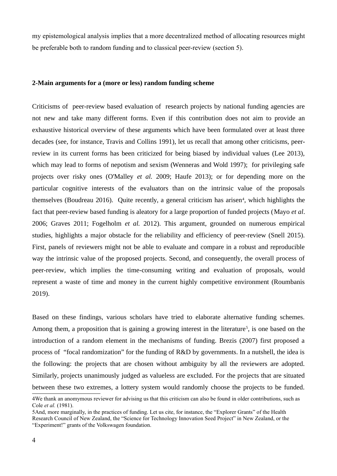my epistemological analysis implies that a more decentralized method of allocating resources might be preferable both to random funding and to classical peer-review (section 5).

### **2-Main arguments for a (more or less) random funding scheme**

Criticisms of peer-review based evaluation of research projects by national funding agencies are not new and take many different forms. Even if this contribution does not aim to provide an exhaustive historical overview of these arguments which have been formulated over at least three decades (see, for instance, Travis and Collins 1991), let us recall that among other criticisms, peerreview in its current forms has been criticized for being biased by individual values (Lee 2013), which may lead to forms of nepotism and sexism (Wenneras and Wold 1997); for privileging safe projects over risky ones (O'Malley *et al.* 2009; Haufe 2013); or for depending more on the particular cognitive interests of the evaluators than on the intrinsic value of the proposals themselves (Boudreau 2016). Quite recently, a general criticism has arisen<sup>[4](#page-3-0)</sup>, which highlights the fact that peer-review based funding is aleatory for a large proportion of funded projects (Mayo *et al*. 2006; Graves 2011; Fogelholm *et al.* 2012). This argument, grounded on numerous empirical studies, highlights a major obstacle for the reliability and efficiency of peer-review (Snell 2015). First, panels of reviewers might not be able to evaluate and compare in a robust and reproducible way the intrinsic value of the proposed projects. Second, and consequently, the overall process of peer-review, which implies the time-consuming writing and evaluation of proposals, would represent a waste of time and money in the current highly competitive environment (Roumbanis 2019).

Based on these findings, various scholars have tried to elaborate alternative funding schemes. Among them, a proposition that is gaining a growing interest in the literature<sup>[5](#page-3-1)</sup>, is one based on the introduction of a random element in the mechanisms of funding. Brezis (2007) first proposed a process of "focal randomization" for the funding of R&D by governments. In a nutshell, the idea is the following: the projects that are chosen without ambiguity by all the reviewers are adopted. Similarly, projects unanimously judged as valueless are excluded. For the projects that are situated between these two extremes, a lottery system would randomly choose the projects to be funded.

<span id="page-3-0"></span><sup>4</sup>We thank an anomymous reviewer for advising us that this criticism can also be found in older contributions, such as Cole *et al.* (1981).

<span id="page-3-1"></span><sup>5</sup>And, more marginally, in the practices of funding. Let us cite, for instance, the "Explorer Grants" of the Health Research Council of New Zealand, the "Science for Technology Innovation Seed Project" in New Zealand, or the "Experiment!" grants of the Volkswagen foundation.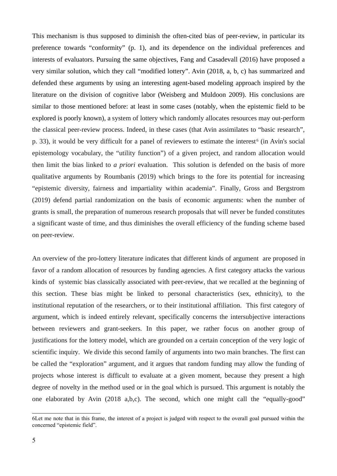This mechanism is thus supposed to diminish the often-cited bias of peer-review, in particular its preference towards "conformity" (p. 1), and its dependence on the individual preferences and interests of evaluators. Pursuing the same objectives, Fang and Casadevall (2016) have proposed a very similar solution, which they call "modified lottery". Avin (2018, a, b, c) has summarized and defended these arguments by using an interesting agent-based modeling approach inspired by the literature on the division of cognitive labor (Weisberg and Muldoon 2009). His conclusions are similar to those mentioned before: at least in some cases (notably, when the epistemic field to be explored is poorly known), a system of lottery which randomly allocates resources may out-perform the classical peer-review process. Indeed, in these cases (that Avin assimilates to "basic research", p. 33), it would be very difficult for a panel of reviewers to estimate the interest<sup>[6](#page-4-0)</sup> (in Avin's social epistemology vocabulary, the "utility function") of a given project, and random allocation would then limit the bias linked to *a priori* evaluation. This solution is defended on the basis of more qualitative arguments by Roumbanis (2019) which brings to the fore its potential for increasing "epistemic diversity, fairness and impartiality within academia". Finally, Gross and Bergstrom (2019) defend partial randomization on the basis of economic arguments: when the number of grants is small, the preparation of numerous research proposals that will never be funded constitutes a significant waste of time, and thus diminishes the overall efficiency of the funding scheme based on peer-review.

An overview of the pro-lottery literature indicates that different kinds of argument are proposed in favor of a random allocation of resources by funding agencies. A first category attacks the various kinds of systemic bias classically associated with peer-review, that we recalled at the beginning of this section. These bias might be linked to personal characteristics (sex, ethnicity), to the institutional reputation of the researchers, or to their institutional affiliation. This first category of argument, which is indeed entirely relevant, specifically concerns the intersubjective interactions between reviewers and grant-seekers. In this paper, we rather focus on another group of justifications for the lottery model, which are grounded on a certain conception of the very logic of scientific inquiry. We divide this second family of arguments into two main branches. The first can be called the "exploration" argument, and it argues that random funding may allow the funding of projects whose interest is difficult to evaluate at a given moment, because they present a high degree of novelty in the method used or in the goal which is pursued. This argument is notably the one elaborated by Avin (2018 a,b,c). The second, which one might call the "equally-good"

<span id="page-4-0"></span><sup>6</sup>Let me note that in this frame, the interest of a project is judged with respect to the overall goal pursued within the concerned "epistemic field".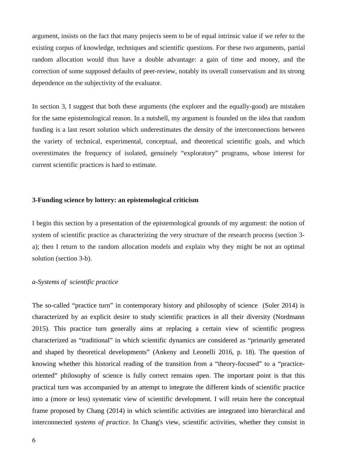argument, insists on the fact that many projects seem to be of equal intrinsic value if we refer to the existing corpus of knowledge, techniques and scientific questions. For these two arguments, partial random allocation would thus have a double advantage: a gain of time and money, and the correction of some supposed defaults of peer-review, notably its overall conservatism and its strong dependence on the subjectivity of the evaluator.

In section 3, I suggest that both these arguments (the explorer and the equally-good) are mistaken for the same epistemological reason. In a nutshell, my argument is founded on the idea that random funding is a last resort solution which underestimates the density of the interconnections between the variety of technical, experimental, conceptual, and theoretical scientific goals, and which overestimates the frequency of isolated, genuinely "exploratory" programs, whose interest for current scientific practices is hard to estimate.

### **3-Funding science by lottery: an epistemological criticism**

I begin this section by a presentation of the epistemological grounds of my argument: the notion of system of scientific practice as characterizing the very structure of the research process (section 3 a); then I return to the random allocation models and explain why they might be not an optimal solution (section 3-b).

## *a-Systems of scientific practice*

The so-called "practice turn" in contemporary history and philosophy of science (Soler 2014) is characterized by an explicit desire to study scientific practices in all their diversity (Nordmann 2015). This practice turn generally aims at replacing a certain view of scientific progress characterized as "traditional" in which scientific dynamics are considered as "primarily generated and shaped by theoretical developments" (Ankeny and Leonelli 2016, p. 18). The question of knowing whether this historical reading of the transition from a "theory-focused" to a "practiceoriented" philosophy of science is fully correct remains open. The important point is that this practical turn was accompanied by an attempt to integrate the different kinds of scientific practice into a (more or less) systematic view of scientific development. I will retain here the conceptual frame proposed by Chang (2014) in which scientific activities are integrated into hierarchical and interconnected *systems of practice*. In Chang's view, scientific activities, whether they consist in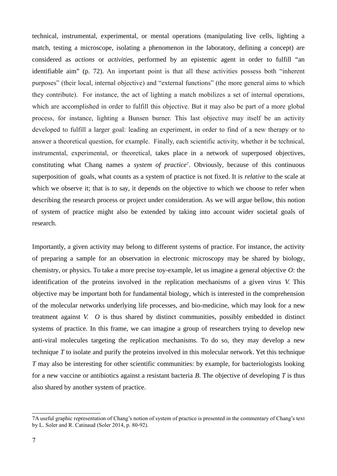technical, instrumental, experimental, or mental operations (manipulating live cells, lighting a match, testing a microscope, isolating a phenomenon in the laboratory, defining a concept) are considered as *actions* or *activities*, performed by an epistemic agent in order to fulfill "an identifiable aim" (p. 72). An important point is that all these activities possess both "inherent purposes" (their local, internal objective) and "external functions" (the more general aims to which they contribute). For instance, the act of lighting a match mobilizes a set of internal operations, which are accomplished in order to fulfill this objective. But it may also be part of a more global process, for instance, lighting a Bunsen burner. This last objective may itself be an activity developed to fulfill a larger goal: leading an experiment, in order to find of a new therapy or to answer a theoretical question, for example. Finally, each scientific activity, whether it be technical, instrumental, experimental, or theoretical, takes place in a network of superposed objectives, constituting what Chang names a *system of practice*[7](#page-6-0) . Obviously, because of this continuous superposition of goals, what counts as a system of practice is not fixed. It is *relative* to the scale at which we observe it; that is to say, it depends on the objective to which we choose to refer when describing the research process or project under consideration. As we will argue bellow, this notion of system of practice might also be extended by taking into account wider societal goals of research.

Importantly, a given activity may belong to different systems of practice. For instance, the activity of preparing a sample for an observation in electronic microscopy may be shared by biology, chemistry, or physics. To take a more precise toy-example, let us imagine a general objective *O*: the identification of the proteins involved in the replication mechanisms of a given virus *V*. This objective may be important both for fundamental biology, which is interested in the comprehension of the molecular networks underlying life processes, and bio-medicine, which may look for a new treatment against *V*. *O* is thus shared by distinct communities, possibly embedded in distinct systems of practice. In this frame, we can imagine a group of researchers trying to develop new anti-viral molecules targeting the replication mechanisms. To do so, they may develop a new technique *T* to isolate and purify the proteins involved in this molecular network. Yet this technique *T* may also be interesting for other scientific communities: by example, for bacteriologists looking for a new vaccine or antibiotics against a resistant bacteria *B*. The objective of developing *T* is thus also shared by another system of practice.

<span id="page-6-0"></span><sup>7</sup>A useful graphic representation of Chang's notion of system of practice is presented in the commentary of Chang's text by L. Soler and R. Catinaud (Soler 2014, p. 80-92).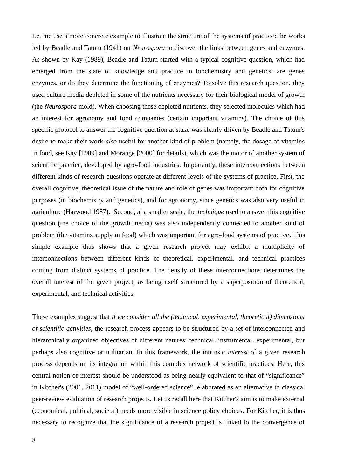Let me use a more concrete example to illustrate the structure of the systems of practice: the works led by Beadle and Tatum (1941) on *Neurospora* to discover the links between genes and enzymes. As shown by Kay (1989), Beadle and Tatum started with a typical cognitive question, which had emerged from the state of knowledge and practice in biochemistry and genetics: are genes enzymes, or do they determine the functioning of enzymes? To solve this research question, they used culture media depleted in some of the nutrients necessary for their biological model of growth (the *Neurospora* mold). When choosing these depleted nutrients, they selected molecules which had an interest for agronomy and food companies (certain important vitamins). The choice of this specific protocol to answer the cognitive question at stake was clearly driven by Beadle and Tatum's desire to make their work *also* useful for another kind of problem (namely, the dosage of vitamins in food, see Kay [1989] and Morange [2000] for details), which was the motor of another system of scientific practice, developed by agro-food industries. Importantly, these interconnections between different kinds of research questions operate at different levels of the systems of practice. First, the overall cognitive, theoretical issue of the nature and role of genes was important both for cognitive purposes (in biochemistry and genetics), and for agronomy, since genetics was also very useful in agriculture (Harwood 1987). Second, at a smaller scale, the *technique* used to answer this cognitive question (the choice of the growth media) was also independently connected to another kind of problem (the vitamins supply in food) which was important for agro-food systems of practice. This simple example thus shows that a given research project may exhibit a multiplicity of interconnections between different kinds of theoretical, experimental, and technical practices coming from distinct systems of practice. The density of these interconnections determines the overall interest of the given project, as being itself structured by a superposition of theoretical, experimental, and technical activities.

These examples suggest that *if we consider all the (technical, experimental, theoretical) dimensions of scientific activities*, the research process appears to be structured by a set of interconnected and hierarchically organized objectives of different natures: technical, instrumental, experimental, but perhaps also cognitive or utilitarian. In this framework, the intrinsic *interest* of a given research process depends on its integration within this complex network of scientific practices. Here, this central notion of interest should be understood as being nearly equivalent to that of "significance" in Kitcher's (2001, 2011) model of "well-ordered science", elaborated as an alternative to classical peer-review evaluation of research projects. Let us recall here that Kitcher's aim is to make external (economical, political, societal) needs more visible in science policy choices. For Kitcher, it is thus necessary to recognize that the significance of a research project is linked to the convergence of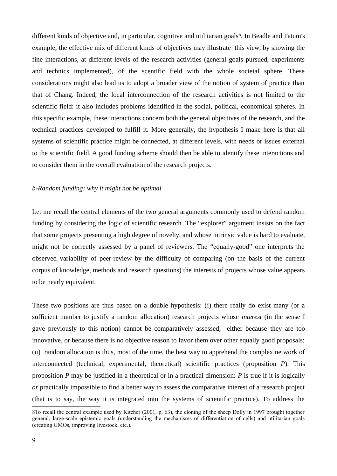different kinds of objective and, in particular, cognitive and utilitarian goals<sup>[8](#page-8-0)</sup>. In Beadle and Tatum's example, the effective mix of different kinds of objectives may illustrate this view, by showing the fine interactions, at different levels of the research activities (general goals pursued, experiments and technics implemented), of the scentific field with the whole societal sphere. These considerations might also lead us to adopt a broader view of the notion of system of practice than that of Chang. Indeed, the local interconnection of the research activities is not limited to the scientific field: it also includes problems identified in the social, political, economical spheres. In this specific example, these interactions concern both the general objectives of the research, and the technical practices developed to fulfill it. More generally, the hypothesis I make here is that all systems of scientific practice might be connected, at different levels, with needs or issues external to the scientific field. A good funding scheme should then be able to identify these interactions and to consider them in the overall evaluation of the research projects.

#### *b-Random funding: why it might not be optimal*

Let me recall the central elements of the two general arguments commonly used to defend random funding by considering the logic of scientific research. The "explorer" argument insists on the fact that some projects presenting a high degree of novelty, and whose intrinsic value is hard to evaluate, might not be correctly assessed by a panel of reviewers. The "equally-good" one interprets the observed variability of peer-review by the difficulty of comparing (on the basis of the current corpus of knowledge, methods and research questions) the interests of projects whose value appears to be nearly equivalent.

These two positions are thus based on a double hypothesis: (i) there really do exist many (or a sufficient number to justify a random allocation) research projects whose *interest* (in the sense I gave previously to this notion) cannot be comparatively assessed, either because they are too innovative, or because there is no objective reason to favor them over other equally good proposals; (ii) random allocation is thus, most of the time, the best way to apprehend the complex network of interconnected (technical, experimental, theoretical) scientific practices (proposition *P*). This proposition *P* may be justified in a theoretical or in a practical dimension: *P* is true if it is logically *or* practically impossible to find a better way to assess the comparative interest of a research project (that is to say, the way it is integrated into the systems of scientific practice). To address the

<span id="page-8-0"></span><sup>8</sup>To recall the central example used by Kitcher (2001, p. 63), the cloning of the sheep Dolly in 1997 brought together general, large-scale epistemic goals (understanding the mechanisms of differentiation of cells) and utilitarian goals (creating GMOs, improving livestock, etc.).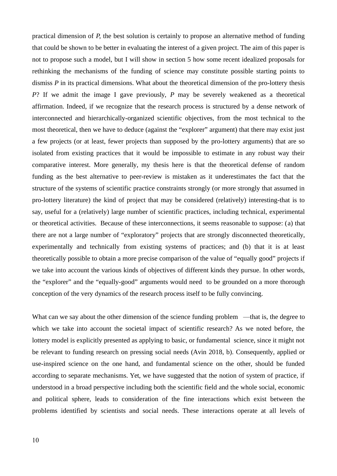practical dimension of *P*, the best solution is certainly to propose an alternative method of funding that could be shown to be better in evaluating the interest of a given project. The aim of this paper is not to propose such a model, but I will show in section 5 how some recent idealized proposals for rethinking the mechanisms of the funding of science may constitute possible starting points to dismiss *P* in its practical dimensions. What about the theoretical dimension of the pro-lottery thesis *P*? If we admit the image I gave previously, *P* may be severely weakened as a theoretical affirmation. Indeed, if we recognize that the research process is structured by a dense network of interconnected and hierarchically-organized scientific objectives, from the most technical to the most theoretical, then we have to deduce (against the "explorer" argument) that there may exist just a few projects (or at least, fewer projects than supposed by the pro-lottery arguments) that are so isolated from existing practices that it would be impossible to estimate in any robust way their comparative interest. More generally, my thesis here is that the theoretical defense of random funding as the best alternative to peer-review is mistaken as it underestimates the fact that the structure of the systems of scientific practice constraints strongly (or more strongly that assumed in pro-lottery literature) the kind of project that may be considered (relatively) interesting-that is to say, useful for a (relatively) large number of scientific practices, including technical, experimental or theoretical activities. Because of these interconnections, it seems reasonable to suppose: (a) that there are not a large number of "exploratory" projects that are strongly disconnected theoretically, experimentally and technically from existing systems of practices; and (b) that it is at least theoretically possible to obtain a more precise comparison of the value of "equally good" projects if we take into account the various kinds of objectives of different kinds they pursue. In other words, the "explorer" and the "equally-good" arguments would need to be grounded on a more thorough conception of the very dynamics of the research process itself to be fully convincing.

What can we say about the other dimension of the science funding problem —that is, the degree to which we take into account the societal impact of scientific research? As we noted before, the lottery model is explicitly presented as applying to basic, or fundamental science, since it might not be relevant to funding research on pressing social needs (Avin 2018, b). Consequently, applied or use-inspired science on the one hand, and fundamental science on the other, should be funded according to separate mechanisms. Yet, we have suggested that the notion of system of practice, if understood in a broad perspective including both the scientific field and the whole social, economic and political sphere, leads to consideration of the fine interactions which exist between the problems identified by scientists and social needs. These interactions operate at all levels of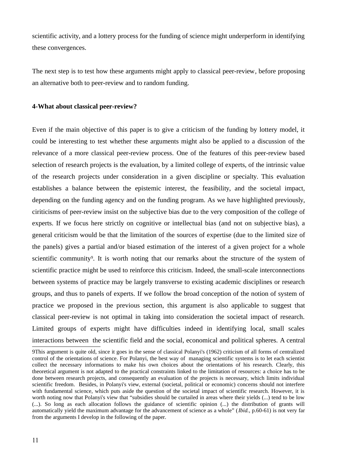scientific activity, and a lottery process for the funding of science might underperform in identifying these convergences.

The next step is to test how these arguments might apply to classical peer-review, before proposing an alternative both to peer-review and to random funding.

#### **4-What about classical peer-review?**

Even if the main objective of this paper is to give a criticism of the funding by lottery model, it could be interesting to test whether these arguments might also be applied to a discussion of the relevance of a more classical peer-review process. One of the features of this peer-review based selection of research projects is the evaluation, by a limited college of experts, of the intrinsic value of the research projects under consideration in a given discipline or specialty. This evaluation establishes a balance between the epistemic interest, the feasibility, and the societal impact, depending on the funding agency and on the funding program. As we have highlighted previously, ciriticisms of peer-review insist on the subjective bias due to the very composition of the college of experts. If we focus here strictly on cognitive or intellectual bias (and not on subjective bias), a general criticism would be that the limitation of the sources of expertise (due to the limited size of the panels) gives a partial and/or biased estimation of the interest of a given project for a whole scientific community<sup>[9](#page-10-0)</sup>. It is worth noting that our remarks about the structure of the system of scientific practice might be used to reinforce this criticism. Indeed, the small-scale interconnections between systems of practice may be largely transverse to existing academic disciplines or research groups, and thus to panels of experts. If we follow the broad conception of the notion of system of practice we proposed in the previous section, this argument is also applicable to suggest that classical peer-review is not optimal in taking into consideration the societal impact of research. Limited groups of experts might have difficulties indeed in identifying local, small scales interactions between the scientific field and the social, economical and political spheres. A central

<span id="page-10-0"></span><sup>9</sup>This argument is quite old, since it goes in the sense of classical Polanyi's (1962) criticism of all forms of centralized control of the orientations of science. For Polanyi, the best way of managing scientific systems is to let each scientist collect the necessary informations to make his own choices about the orientations of his research. Clearly, this theoretical argument is not adapted to the practical constraints linked to the limitation of resources: a choice has to be done between research projects, and consequently an evaluation of the projects is necessary, which limits individual scientific freedom. Besides, in Polanyi's view, external (societal, political or economic) concerns should not interfere with fundamental science, which puts aside the question of the societal impact of scientific research. However, it is worth noting now that Polanyi's view that "subsidies should be curtailed in areas where their yields (...) tend to be low (...). So long as each allocation follows the guidance of scientific opinion (...) the distribution of grants will automatically yield the maximum advantage for the advancement of science as a whole" (*Ibid.*, p.60-61) is not very far from the arguments I develop in the following of the paper.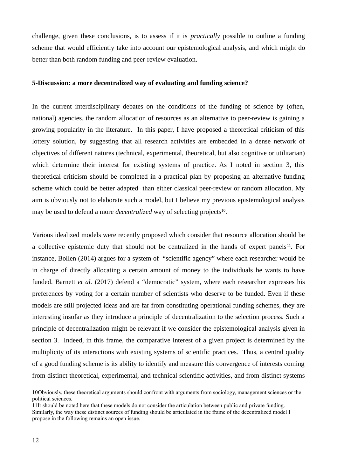challenge, given these conclusions, is to assess if it is *practically* possible to outline a funding scheme that would efficiently take into account our epistemological analysis, and which might do better than both random funding and peer-review evaluation.

### **5-Discussion: a more decentralized way of evaluating and funding science?**

In the current interdisciplinary debates on the conditions of the funding of science by (often, national) agencies, the random allocation of resources as an alternative to peer-review is gaining a growing popularity in the literature. In this paper, I have proposed a theoretical criticism of this lottery solution, by suggesting that all research activities are embedded in a dense network of objectives of different natures (technical, experimental, theoretical, but also cognitive or utilitarian) which determine their interest for existing systems of practice. As I noted in section 3, this theoretical criticism should be completed in a practical plan by proposing an alternative funding scheme which could be better adapted than either classical peer-review or random allocation. My aim is obviously not to elaborate such a model, but I believe my previous epistemological analysis may be used to defend a more *decentralized* way of selecting projects<sup>[10](#page-11-0)</sup>.

Various idealized models were recently proposed which consider that resource allocation should be a collective epistemic duty that should not be centralized in the hands of expert panels<sup>[11](#page-11-1)</sup>. For instance, Bollen (2014) argues for a system of "scientific agency" where each researcher would be in charge of directly allocating a certain amount of money to the individuals he wants to have funded. Barnett *et al.* (2017) defend a "democratic" system, where each researcher expresses his preferences by voting for a certain number of scientists who deserve to be funded. Even if these models are still projected ideas and are far from constituting operational funding schemes, they are interesting insofar as they introduce a principle of decentralization to the selection process. Such a principle of decentralization might be relevant if we consider the epistemological analysis given in section 3. Indeed, in this frame, the comparative interest of a given project is determined by the multiplicity of its interactions with existing systems of scientific practices. Thus, a central quality of a good funding scheme is its ability to identify and measure this convergence of interests coming from distinct theoretical, experimental, and technical scientific activities, and from distinct systems

<span id="page-11-0"></span><sup>10</sup>Obviously, these theoretical arguments should confront with arguments from sociology, management sciences or the political sciences.

<span id="page-11-1"></span><sup>11</sup>It should be noted here that these models do not consider the articulation between public and private funding. Similarly, the way these distinct sources of funding should be articulated in the frame of the decentralized model I propose in the following remains an open issue.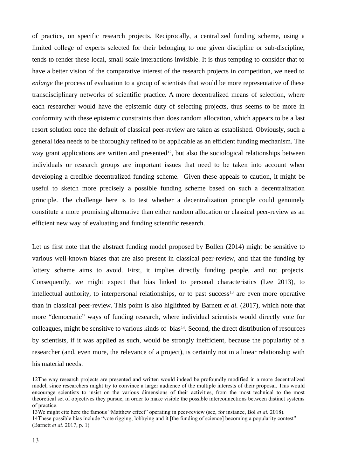of practice, on specific research projects. Reciprocally, a centralized funding scheme, using a limited college of experts selected for their belonging to one given discipline or sub-discipline, tends to render these local, small-scale interactions invisible. It is thus tempting to consider that to have a better vision of the comparative interest of the research projects in competition, we need to *enlarge* the process of evaluation to a group of scientists that would be more representative of these transdisciplinary networks of scientific practice. A more decentralized means of selection, where each researcher would have the epistemic duty of selecting projects, thus seems to be more in conformity with these epistemic constraints than does random allocation, which appears to be a last resort solution once the default of classical peer-review are taken as established. Obviously, such a general idea needs to be thoroughly refined to be applicable as an efficient funding mechanism. The way grant applications are written and presented<sup>[12](#page-12-0)</sup>, but also the sociological relationships between individuals or research groups are important issues that need to be taken into account when developing a credible decentralized funding scheme. Given these appeals to caution, it might be useful to sketch more precisely a possible funding scheme based on such a decentralization principle. The challenge here is to test whether a decentralization principle could genuinely constitute a more promising alternative than either random allocation or classical peer-review as an efficient new way of evaluating and funding scientific research.

Let us first note that the abstract funding model proposed by Bollen (2014) might be sensitive to various well-known biases that are also present in classical peer-review, and that the funding by lottery scheme aims to avoid. First, it implies directly funding people, and not projects. Consequently, we might expect that bias linked to personal characteristics (Lee 2013), to intellectual authority, to interpersonal relationships, or to past success<sup>[13](#page-12-1)</sup> are even more operative than in classical peer-review. This point is also higlithted by Barnett *et al.* (2017), which note that more "democratic" ways of funding research, where individual scientists would directly vote for colleagues, might be sensitive to various kinds of bias<sup>[14](#page-12-2)</sup>. Second, the direct distribution of resources by scientists, if it was applied as such, would be strongly inefficient, because the popularity of a researcher (and, even more, the relevance of a project), is certainly not in a linear relationship with his material needs.

<span id="page-12-0"></span><sup>12</sup>The way research projects are presented and written would indeed be profoundly modified in a more decentralized model, since researchers might try to convince a larger audience of the multiple interests of their proposal. This would encourage scientists to insist on the various dimensions of their activities, from the most technical to the most theoretical set of objectives they pursue, in order to make visible the possible interconnections between distinct systems of practice.

<span id="page-12-2"></span><span id="page-12-1"></span><sup>13</sup>We might cite here the famous "Matthew effect" operating in peer-review (see, for instance, Bol *et al.* 2018). 14These possible bias include "vote rigging, lobbying and it [the funding of science] becoming a popularity contest" (Barnett *et al*. 2017, p. 1)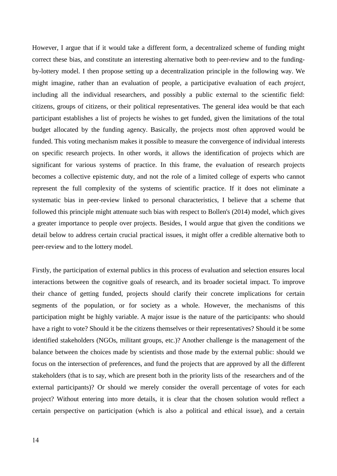However, I argue that if it would take a different form, a decentralized scheme of funding might correct these bias, and constitute an interesting alternative both to peer-review and to the fundingby-lottery model. I then propose setting up a decentralization principle in the following way. We might imagine, rather than an evaluation of people, a participative evaluation of each *project*, including all the individual researchers, and possibly a public external to the scientific field: citizens, groups of citizens, or their political representatives. The general idea would be that each participant establishes a list of projects he wishes to get funded, given the limitations of the total budget allocated by the funding agency. Basically, the projects most often approved would be funded. This voting mechanism makes it possible to measure the convergence of individual interests on specific research projects. In other words, it allows the identification of projects which are significant for various systems of practice. In this frame, the evaluation of research projects becomes a collective epistemic duty, and not the role of a limited college of experts who cannot represent the full complexity of the systems of scientific practice. If it does not eliminate a systematic bias in peer-review linked to personal characteristics, I believe that a scheme that followed this principle might attenuate such bias with respect to Bollen's (2014) model, which gives a greater importance to people over projects. Besides, I would argue that given the conditions we detail below to address certain crucial practical issues, it might offer a credible alternative both to peer-review and to the lottery model.

Firstly, the participation of external publics in this process of evaluation and selection ensures local interactions between the cognitive goals of research, and its broader societal impact. To improve their chance of getting funded, projects should clarify their concrete implications for certain segments of the population, or for society as a whole. However, the mechanisms of this participation might be highly variable. A major issue is the nature of the participants: who should have a right to vote? Should it be the citizens themselves or their representatives? Should it be some identified stakeholders (NGOs, militant groups, etc.)? Another challenge is the management of the balance between the choices made by scientists and those made by the external public: should we focus on the intersection of preferences, and fund the projects that are approved by all the different stakeholders (that is to say, which are present both in the priority lists of the researchers and of the external participants)? Or should we merely consider the overall percentage of votes for each project? Without entering into more details, it is clear that the chosen solution would reflect a certain perspective on participation (which is also a political and ethical issue), and a certain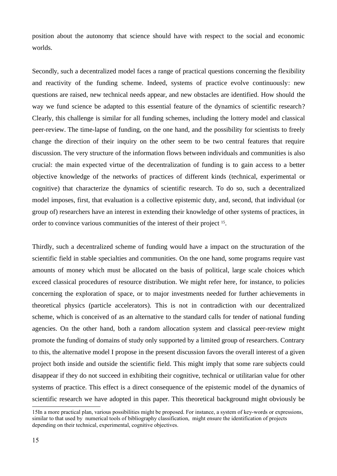position about the autonomy that science should have with respect to the social and economic worlds.

Secondly, such a decentralized model faces a range of practical questions concerning the flexibility and reactivity of the funding scheme. Indeed, systems of practice evolve continuously: new questions are raised, new technical needs appear, and new obstacles are identified. How should the way we fund science be adapted to this essential feature of the dynamics of scientific research? Clearly, this challenge is similar for all funding schemes, including the lottery model and classical peer-review. The time-lapse of funding, on the one hand, and the possibility for scientists to freely change the direction of their inquiry on the other seem to be two central features that require discussion. The very structure of the information flows between individuals and communities is also crucial: the main expected virtue of the decentralization of funding is to gain access to a better objective knowledge of the networks of practices of different kinds (technical, experimental or cognitive) that characterize the dynamics of scientific research. To do so, such a decentralized model imposes, first, that evaluation is a collective epistemic duty, and, second, that individual (or group of) researchers have an interest in extending their knowledge of other systems of practices, in order to convince various communities of the interest of their project <sup>[15](#page-14-0)</sup>.

Thirdly, such a decentralized scheme of funding would have a impact on the structuration of the scientific field in stable specialties and communities. On the one hand, some programs require vast amounts of money which must be allocated on the basis of political, large scale choices which exceed classical procedures of resource distribution. We might refer here, for instance, to policies concerning the exploration of space, or to major investments needed for further achievements in theoretical physics (particle accelerators). This is not in contradiction with our decentralized scheme, which is conceived of as an alternative to the standard calls for tender of national funding agencies. On the other hand, both a random allocation system and classical peer-review might promote the funding of domains of study only supported by a limited group of researchers. Contrary to this, the alternative model I propose in the present discussion favors the overall interest of a given project both inside and outside the scientific field. This might imply that some rare subjects could disappear if they do not succeed in exhibiting their cognitive, technical or utilitarian value for other systems of practice. This effect is a direct consequence of the epistemic model of the dynamics of scientific research we have adopted in this paper. This theoretical background might obviously be

<span id="page-14-0"></span><sup>15</sup>In a more practical plan, various possibilities might be proposed. For instance, a system of key-words or expressions, similar to that used by numerical tools of bibliography classification, might ensure the identification of projects depending on their technical, experimental, cognitive objectives.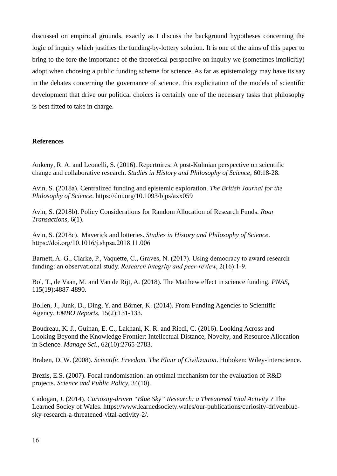discussed on empirical grounds, exactly as I discuss the background hypotheses concerning the logic of inquiry which justifies the funding-by-lottery solution. It is one of the aims of this paper to bring to the fore the importance of the theoretical perspective on inquiry we (sometimes implicitly) adopt when choosing a public funding scheme for science. As far as epistemology may have its say in the debates concerning the governance of science, this explicitation of the models of scientific development that drive our political choices is certainly one of the necessary tasks that philosophy is best fitted to take in charge.

## **References**

Ankeny, R. A. and Leonelli, S. (2016). Repertoires: A post-Kuhnian perspective on scientific change and collaborative research. *Studies in History and Philosophy of Science*, 60:18-28.

Avin, S. (2018a). Centralized funding and epistemic exploration. *The British Journal for the Philosophy of Science*. https://doi.org/10.1093/bjps/axx059

Avin, S. (2018b). Policy Considerations for Random Allocation of Research Funds. *Roar Transactions*, 6(1).

Avin, S. (2018c). Maverick and lotteries. *Studies in History and Philosophy of Science*. https://doi.org/10.1016/j.shpsa.2018.11.006

Barnett, A. G., Clarke, P., Vaquette, C., Graves, N. (2017). Using democracy to award research funding: an observational study. *Research integrity and peer-review*, 2(16):1-9.

Bol, T., de Vaan, M. and Van de Rijt, A. (2018). The Matthew effect in science funding. *PNAS*, 115(19):4887-4890.

Bollen, J., Junk, D., Ding, Y. and Börner, K. (2014). From Funding Agencies to Scientific Agency. *EMBO Reports*, 15(2):131-133.

Boudreau, K. J., Guinan, E. C., Lakhani, K. R. and Riedi, C. (2016). Looking Across and Looking Beyond the Knowledge Frontier: Intellectual Distance, Novelty, and Resource Allocation in Science. *Manage Sci.*, 62(10):2765-2783.

Braben, D. W. (2008). *Scientific Freedom. The Elixir of Civilization*. Hoboken: Wiley-Interscience.

Brezis, E.S. (2007). Focal randomisation: an optimal mechanism for the evaluation of R&D projects. *Science and Public Policy,* 34(10).

Cadogan, J. (2014). *Curiosity-driven "Blue Sky" Research: a Threatened Vital Activity ?* The Learned Sociey of Wales. https://www.learnedsociety.wales/our-publications/curiosity-drivenbluesky-research-a-threatened-vital-activity-2/.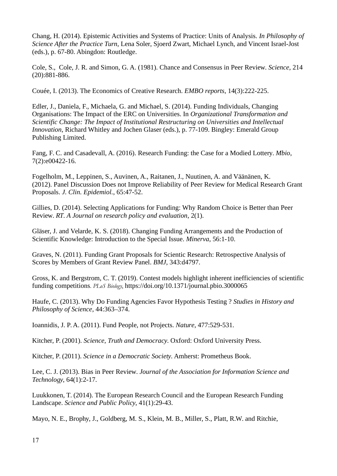Chang, H. (2014). Epistemic Activities and Systems of Practice: Units of Analysis. *In Philosophy of Science After the Practice Turn*, Lena Soler, Sjoerd Zwart, Michael Lynch, and Vincent Israel-Jost (eds.), p. 67-80. Abingdon: Routledge.

Cole, S., Cole, J. R. and Simon, G. A. (1981). Chance and Consensus in Peer Review. *Science,* 214 (20):881-886.

Couée, I. (2013). The Economics of Creative Research. *EMBO reports*, 14(3):222-225.

Edler, J., Daniela, F., Michaela, G. and Michael, S. (2014). Funding Individuals, Changing Organisations: The Impact of the ERC on Universities. In *Organizational Transformation and Scientific Change: The Impact of Institutional Restructuring on Universities and Intellectual Innovation*, Richard Whitley and Jochen Glaser (eds.), p. 77-109. Bingley: Emerald Group Publishing Limited.

Fang, F. C. and Casadevall, A. (2016). Research Funding: the Case for a Modied Lottery. *Mbio*, 7(2):e00422-16.

Fogelholm, M., Leppinen, S., Auvinen, A., Raitanen, J., Nuutinen, A. and Väänänen, K. (2012). Panel Discussion Does not Improve Reliability of Peer Review for Medical Research Grant Proposals. *J. Clin. Epidemiol.*, 65:47-52.

Gillies, D. (2014). Selecting Applications for Funding: Why Random Choice is Better than Peer Review. *RT. A Journal on research policy and evaluation*, 2(1).

Gläser, J. and Velarde, K. S. (2018). Changing Funding Arrangements and the Production of Scientific Knowledge: Introduction to the Special Issue. *Minerva*, 56:1-10.

Graves, N. (2011). Funding Grant Proposals for Scientic Research: Retrospective Analysis of Scores by Members of Grant Review Panel. *BMJ*, 343:d4797.

Gross, K. and Bergstrom, C. T. (2019). Contest models highlight inherent inefficiencies of scientific funding competitions. *PLoS Biology*, https://doi.org/10.1371/journal.pbio.3000065

Haufe, C. (2013). Why Do Funding Agencies Favor Hypothesis Testing ? *Studies in History and Philosophy of Science*, 44:363–374.

Ioannidis, J. P. A. (2011). Fund People, not Projects. *Nature*, 477:529-531.

Kitcher, P. (2001). *Science, Truth and Democracy*. Oxford: Oxford University Press.

Kitcher, P. (2011). *Science in a Democratic Society*. Amherst: Prometheus Book.

Lee, C. J. (2013). Bias in Peer Review. *Journal of the Association for Information Science and Technology*, 64(1):2-17.

Luukkonen, T. (2014). The European Research Council and the European Research Funding Landscape. *Science and Public Policy*, 41(1):29-43.

Mayo, N. E., Brophy, J., Goldberg, M. S., Klein, M. B., Miller, S., Platt, R.W. and Ritchie,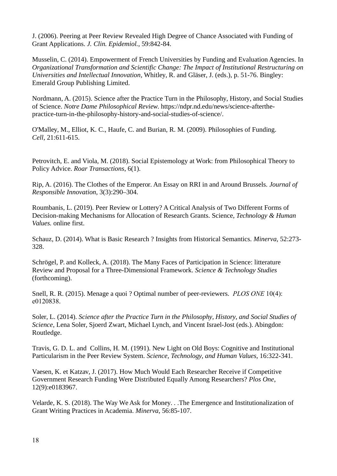J. (2006). Peering at Peer Review Revealed High Degree of Chance Associated with Funding of Grant Applications. *J. Clin. Epidemiol.*, 59:842-84.

Musselin, C. (2014). Empowerment of French Universities by Funding and Evaluation Agencies. In *Organizational Transformation and Scientific Change: The Impact of Institutional Restructuring on Universities and Intellectual Innovation*, Whitley, R. and Gläser, J. (eds.), p. 51-76. Bingley: Emerald Group Publishing Limited.

Nordmann, A. (2015). Science after the Practice Turn in the Philosophy, History, and Social Studies of Science. *Notre Dame Philosophical Review*. https://ndpr.nd.edu/news/science-afterthepractice-turn-in-the-philosophy-history-and-social-studies-of-science/.

O'Malley, M., Elliot, K. C., Haufe, C. and Burian, R. M. (2009). Philosophies of Funding. *Cell*, 21:611-615.

Petrovitch, E. and Viola, M. (2018). Social Epistemology at Work: from Philosophical Theory to Policy Advice. *Roar Transactions*, 6(1).

Rip, A. (2016). The Clothes of the Emperor. An Essay on RRI in and Around Brussels. *Journal of Responsible Innovation*, 3(3):290–304.

Roumbanis, L. (2019). Peer Review or Lottery? A Critical Analysis of Two Different Forms of Decision-making Mechanisms for Allocation of Research Grants. Science, *Technology & Human Values.* online first.

Schauz, D. (2014). What is Basic Research ? Insights from Historical Semantics. *Minerva*, 52:273- 328.

Schrögel, P. and Kolleck, A. (2018). The Many Faces of Participation in Science: litterature Review and Proposal for a Three-Dimensional Framework. *Science & Technology Studies* (forthcoming).

Snell, R. R. (2015). Menage a quoi ? Optimal number of peer-reviewers. *PLOS ONE* 10(4): e0120838.

Soler, L. (2014). *Science after the Practice Turn in the Philosophy, History, and Social Studies of Science*, Lena Soler, Sjoerd Zwart, Michael Lynch, and Vincent Israel-Jost (eds.). Abingdon: Routledge.

Travis, G. D. L. and Collins, H. M. (1991). New Light on Old Boys: Cognitive and Institutional Particularism in the Peer Review System. *Science, Technology, and Human Values*, 16:322-341.

Vaesen, K. et Katzav, J. (2017). How Much Would Each Researcher Receive if Competitive Government Research Funding Were Distributed Equally Among Researchers? *Plos One*, 12(9):e0183967.

Velarde, K. S. (2018). The Way We Ask for Money. . .The Emergence and Institutionalization of Grant Writing Practices in Academia. *Minerva*, 56:85-107.